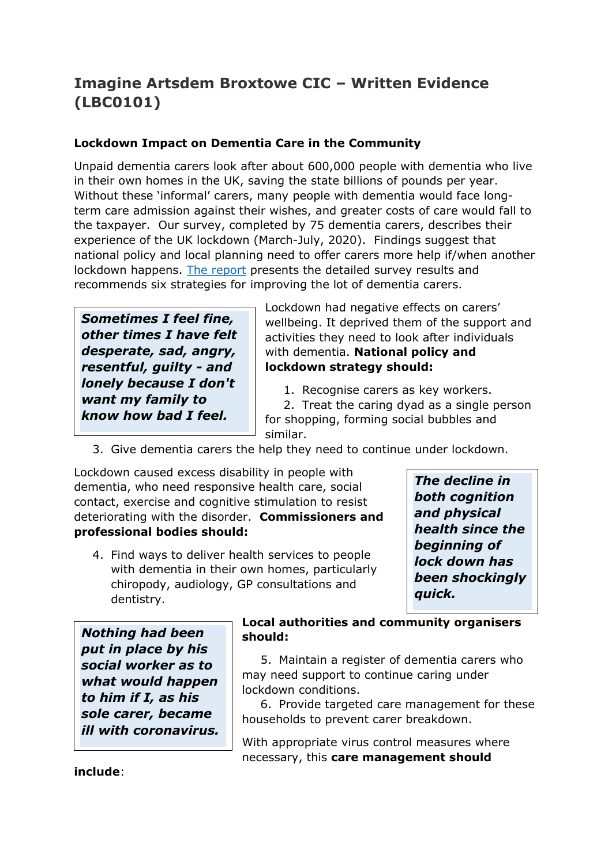## **Imagine Artsdem Broxtowe CIC – Written Evidence (LBC0101)**

## **Lockdown Impact on Dementia Care in the Community**

Unpaid dementia carers look after about 600,000 people with dementia who live in their own homes in the UK, saving the state billions of pounds per year. Without these 'informal' carers, many people with dementia would face longterm care admission against their wishes, and greater costs of care would fall to the taxpayer. Our survey, completed by 75 dementia carers, describes their experience of the UK lockdown (March-July, 2020). Findings suggest that national policy and local planning need to offer carers more help if/when another lockdown happens. [The](http://www.thebeestonstudio.uk/lockdown-survey) [report](http://www.thebeestonstudio.uk/lockdown-survey) presents the detailed survey results and recommends six strategies for improving the lot of dementia carers.

*Sometimes I feel fine, other times I have felt desperate, sad, angry, resentful, guilty - and lonely because I don't want my family to know how bad I feel.*

Lockdown had negative effects on carers' wellbeing. It deprived them of the support and activities they need to look after individuals with dementia. **National policy and lockdown strategy should:**

1. Recognise carers as key workers.

2. Treat the caring dyad as a single person for shopping, forming social bubbles and similar.

3. Give dementia carers the help they need to continue under lockdown.

Lockdown caused excess disability in people with dementia, who need responsive health care, social contact, exercise and cognitive stimulation to resist deteriorating with the disorder. **Commissioners and professional bodies should:** 

4. Find ways to deliver health services to people with dementia in their own homes, particularly chiropody, audiology, GP consultations and dentistry.

*The decline in both cognition and physical health since the beginning of lock down has been shockingly quick.*

*Nothing had been put in place by his social worker as to what would happen to him if I, as his sole carer, became ill with coronavirus.*

## **Local authorities and community organisers should:**

5. Maintain a register of dementia carers who may need support to continue caring under lockdown conditions.

6. Provide targeted care management for these households to prevent carer breakdown.

With appropriate virus control measures where necessary, this **care management should**

**include**: